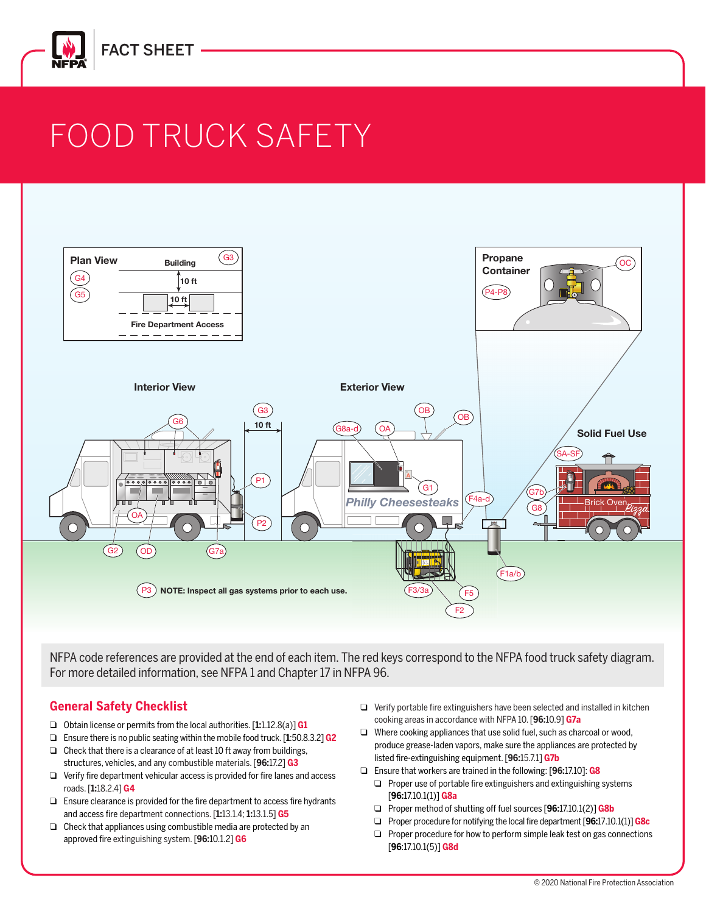

# FOOD TRUCK SAFETY



NFPA code references are provided at the end of each item. The red keys correspond to the NFPA food truck safety diagram. For more detailed information, see NFPA 1 and Chapter 17 in NFPA 96.

#### **General Safety Checklist**

- ❑ Obtain license or permits from the local authorities. [**1:**1.12.8(a)] **G1**
- ❑ Ensure there is no public seating within the mobile food truck. [**1**:50.8.3.2] **G2**
- ❑ Check that there is a clearance of at least 10 ft away from buildings, structures, vehicles, and any combustible materials. [**96:**17.2] **G3**
- ❑ Verify fire department vehicular access is provided for fire lanes and access roads. [**1:**18.2.4] **G4**
- ❑ Ensure clearance is provided for the fire department to access fire hydrants and access fire department connections. [**1:**13.1.4; **1:**13.1.5] **G5**
- ❑ Check that appliances using combustible media are protected by an approved fire extinguishing system. [**96:**10.1.2] **G6**
- ❑ Verify portable fire extinguishers have been selected and installed in kitchen cooking areas in accordance with NFPA 10. [**96:**10.9] **G7a**
- ❑ Where cooking appliances that use solid fuel, such as charcoal or wood, produce grease-laden vapors, make sure the appliances are protected by listed fire-extinguishing equipment. [**96:**15.7.1] **G7b**
- ❑ Ensure that workers are trained in the following: [**96:**17.10]: **G8**
	- ❑ Proper use of portable fire extinguishers and extinguishing systems [**96:**17.10.1(1)] **G8a**
	- ❑ Proper method of shutting off fuel sources [**96:**17.10.1(2)] **G8b**
	- ❑ Proper procedure for notifying the local fire department [**96:**17.10.1(1)]**G8c**
	- ❑ Proper procedure for how to perform simple leak test on gas connections [**96**:17.10.1(5)] **G8d**